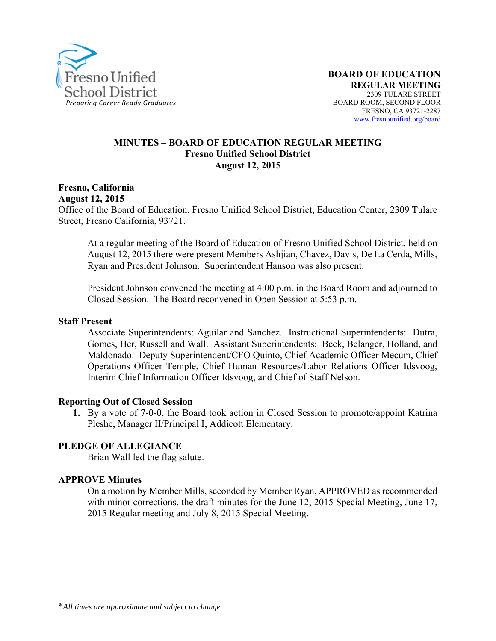

#### **MINUTES – BOARD OF EDUCATION REGULAR MEETING Fresno Unified School District August 12, 2015**

**Fresno, California August 12, 2015**  Office of the Board of Education, Fresno Unified School District, Education Center, 2309 Tulare Street, Fresno California, 93721.

At a regular meeting of the Board of Education of Fresno Unified School District, held on August 12, 2015 there were present Members Ashjian, Chavez, Davis, De La Cerda, Mills, Ryan and President Johnson. Superintendent Hanson was also present.

President Johnson convened the meeting at 4:00 p.m. in the Board Room and adjourned to Closed Session. The Board reconvened in Open Session at 5:53 p.m.

#### **Staff Present**

Associate Superintendents: Aguilar and Sanchez. Instructional Superintendents: Dutra, Gomes, Her, Russell and Wall. Assistant Superintendents: Beck, Belanger, Holland, and Maldonado. Deputy Superintendent/CFO Quinto, Chief Academic Officer Mecum, Chief Operations Officer Temple, Chief Human Resources/Labor Relations Officer Idsvoog, Interim Chief Information Officer Idsvoog, and Chief of Staff Nelson.

#### **Reporting Out of Closed Session**

**1.** By a vote of 7-0-0, the Board took action in Closed Session to promote/appoint Katrina Pleshe, Manager II/Principal I, Addicott Elementary.

#### **PLEDGE OF ALLEGIANCE**

Brian Wall led the flag salute.

#### **APPROVE Minutes**

On a motion by Member Mills, seconded by Member Ryan, APPROVED as recommended with minor corrections, the draft minutes for the June 12, 2015 Special Meeting, June 17, 2015 Regular meeting and July 8, 2015 Special Meeting.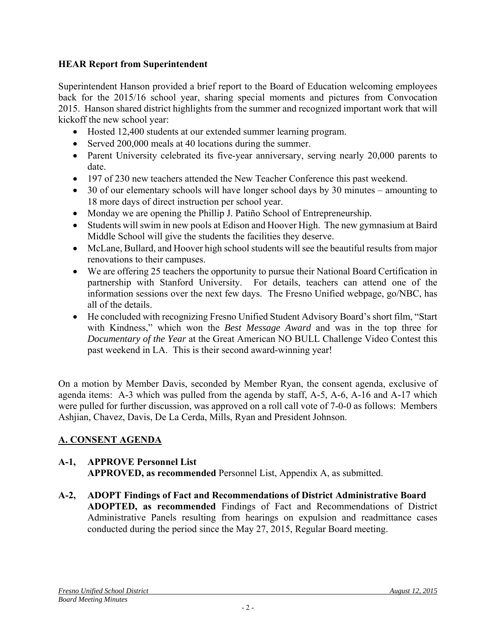# **HEAR Report from Superintendent**

Superintendent Hanson provided a brief report to the Board of Education welcoming employees back for the 2015/16 school year, sharing special moments and pictures from Convocation 2015. Hanson shared district highlights from the summer and recognized important work that will kickoff the new school year:

- Hosted 12,400 students at our extended summer learning program.
- Served 200,000 meals at 40 locations during the summer.
- Parent University celebrated its five-year anniversary, serving nearly 20,000 parents to date.
- 197 of 230 new teachers attended the New Teacher Conference this past weekend.
- 30 of our elementary schools will have longer school days by 30 minutes amounting to 18 more days of direct instruction per school year.
- Monday we are opening the Phillip J. Patiño School of Entrepreneurship.
- Students will swim in new pools at Edison and Hoover High. The new gymnasium at Baird Middle School will give the students the facilities they deserve.
- McLane, Bullard, and Hoover high school students will see the beautiful results from major renovations to their campuses.
- We are offering 25 teachers the opportunity to pursue their National Board Certification in partnership with Stanford University. For details, teachers can attend one of the information sessions over the next few days. The Fresno Unified webpage, go/NBC, has all of the details.
- He concluded with recognizing Fresno Unified Student Advisory Board's short film, "Start with Kindness," which won the *Best Message Award* and was in the top three for *Documentary of the Year* at the Great American NO BULL Challenge Video Contest this past weekend in LA. This is their second award-winning year!

On a motion by Member Davis, seconded by Member Ryan, the consent agenda, exclusive of agenda items: A-3 which was pulled from the agenda by staff, A-5, A-6, A-16 and A-17 which were pulled for further discussion, was approved on a roll call vote of 7-0-0 as follows: Members Ashjian, Chavez, Davis, De La Cerda, Mills, Ryan and President Johnson.

# **A. CONSENT AGENDA**

### **A-1, APPROVE Personnel List APPROVED, as recommended** Personnel List, Appendix A, as submitted.

**A-2, ADOPT Findings of Fact and Recommendations of District Administrative Board ADOPTED, as recommended** Findings of Fact and Recommendations of District Administrative Panels resulting from hearings on expulsion and readmittance cases conducted during the period since the May 27, 2015, Regular Board meeting.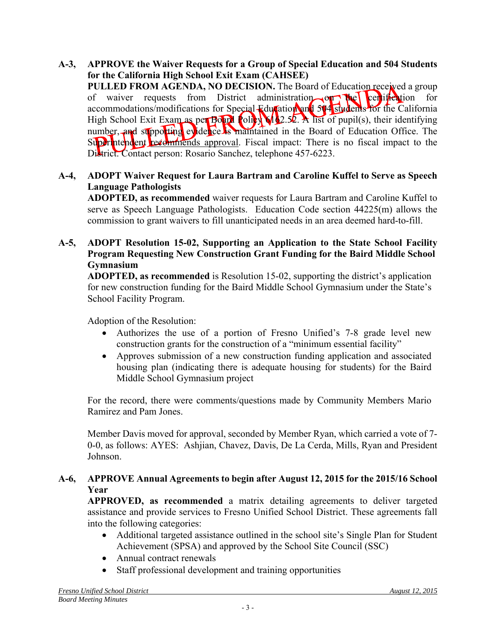**A-3, APPROVE the Waiver Requests for a Group of Special Education and 504 Students for the California High School Exit Exam (CAHSEE) PULLED FROM AGENDA, NO DECISION.** The Board of Education received a group of waiver requests from District administration on the certification for accommodations/modifications for Special Education and 504 students for the California High School Exit Exam as per Board Policy 612.52. A list of pupil(s), their identifying number, and supporting evidence is maintained in the Board of Education Office. The Superintendent recommends approval. Fiscal impact: There is no fiscal impact to the District. Contact person: Rosario Sanchez, telephone 457-6223.

### **A-4, ADOPT Waiver Request for Laura Bartram and Caroline Kuffel to Serve as Speech Language Pathologists**

**ADOPTED, as recommended** waiver requests for Laura Bartram and Caroline Kuffel to serve as Speech Language Pathologists. Education Code section 44225(m) allows the commission to grant waivers to fill unanticipated needs in an area deemed hard-to-fill.

### **A-5, ADOPT Resolution 15-02, Supporting an Application to the State School Facility Program Requesting New Construction Grant Funding for the Baird Middle School Gymnasium**

**ADOPTED, as recommended** is Resolution 15-02, supporting the district's application for new construction funding for the Baird Middle School Gymnasium under the State's School Facility Program.

Adoption of the Resolution:

- Authorizes the use of a portion of Fresno Unified's 7-8 grade level new construction grants for the construction of a "minimum essential facility"
- Approves submission of a new construction funding application and associated housing plan (indicating there is adequate housing for students) for the Baird Middle School Gymnasium project

For the record, there were comments/questions made by Community Members Mario Ramirez and Pam Jones.

Member Davis moved for approval, seconded by Member Ryan, which carried a vote of 7- 0-0, as follows: AYES: Ashjian, Chavez, Davis, De La Cerda, Mills, Ryan and President Johnson.

### **A-6, APPROVE Annual Agreements to begin after August 12, 2015 for the 2015/16 School Year**

**APPROVED, as recommended** a matrix detailing agreements to deliver targeted assistance and provide services to Fresno Unified School District. These agreements fall into the following categories:

- Additional targeted assistance outlined in the school site's Single Plan for Student Achievement (SPSA) and approved by the School Site Council (SSC)
- Annual contract renewals
- Staff professional development and training opportunities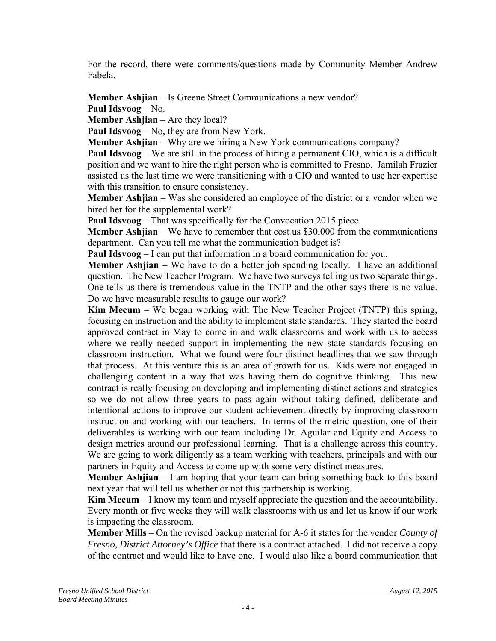For the record, there were comments/questions made by Community Member Andrew Fabela.

**Member Ashjian** – Is Greene Street Communications a new vendor? **Paul Idsvoog** – No.

**Member Ashjian** – Are they local?

**Paul Idsvoog** – No, they are from New York.

**Member Ashjian** – Why are we hiring a New York communications company?

**Paul Idsvoog** – We are still in the process of hiring a permanent CIO, which is a difficult position and we want to hire the right person who is committed to Fresno. Jamilah Frazier assisted us the last time we were transitioning with a CIO and wanted to use her expertise with this transition to ensure consistency.

**Member Ashjian** – Was she considered an employee of the district or a vendor when we hired her for the supplemental work?

**Paul Idsvoog** – That was specifically for the Convocation 2015 piece.

**Member Ashjian** – We have to remember that cost us \$30,000 from the communications department. Can you tell me what the communication budget is?

**Paul Idsvoog** – I can put that information in a board communication for you.

**Member Ashijan** – We have to do a better job spending locally. I have an additional question. The New Teacher Program. We have two surveys telling us two separate things. One tells us there is tremendous value in the TNTP and the other says there is no value. Do we have measurable results to gauge our work?

**Kim Mecum** – We began working with The New Teacher Project (TNTP) this spring, focusing on instruction and the ability to implement state standards. They started the board approved contract in May to come in and walk classrooms and work with us to access where we really needed support in implementing the new state standards focusing on classroom instruction. What we found were four distinct headlines that we saw through that process. At this venture this is an area of growth for us. Kids were not engaged in challenging content in a way that was having them do cognitive thinking. This new contract is really focusing on developing and implementing distinct actions and strategies so we do not allow three years to pass again without taking defined, deliberate and intentional actions to improve our student achievement directly by improving classroom instruction and working with our teachers. In terms of the metric question, one of their deliverables is working with our team including Dr. Aguilar and Equity and Access to design metrics around our professional learning. That is a challenge across this country. We are going to work diligently as a team working with teachers, principals and with our partners in Equity and Access to come up with some very distinct measures.

**Member Ashjian** – I am hoping that your team can bring something back to this board next year that will tell us whether or not this partnership is working.

**Kim Mecum** – I know my team and myself appreciate the question and the accountability. Every month or five weeks they will walk classrooms with us and let us know if our work is impacting the classroom.

**Member Mills** – On the revised backup material for A-6 it states for the vendor *County of Fresno, District Attorney's Office* that there is a contract attached. I did not receive a copy of the contract and would like to have one. I would also like a board communication that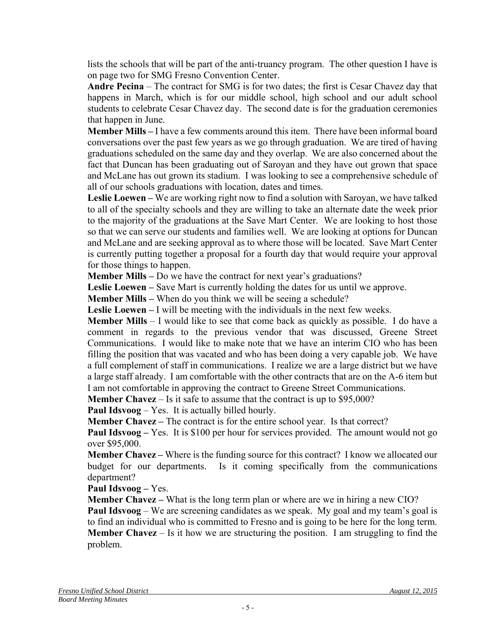lists the schools that will be part of the anti-truancy program. The other question I have is on page two for SMG Fresno Convention Center.

**Andre Pecina** – The contract for SMG is for two dates; the first is Cesar Chavez day that happens in March, which is for our middle school, high school and our adult school students to celebrate Cesar Chavez day. The second date is for the graduation ceremonies that happen in June.

**Member Mills –** I have a few comments around this item. There have been informal board conversations over the past few years as we go through graduation. We are tired of having graduations scheduled on the same day and they overlap. We are also concerned about the fact that Duncan has been graduating out of Saroyan and they have out grown that space and McLane has out grown its stadium. I was looking to see a comprehensive schedule of all of our schools graduations with location, dates and times.

**Leslie Loewen –** We are working right now to find a solution with Saroyan, we have talked to all of the specialty schools and they are willing to take an alternate date the week prior to the majority of the graduations at the Save Mart Center. We are looking to host those so that we can serve our students and families well. We are looking at options for Duncan and McLane and are seeking approval as to where those will be located. Save Mart Center is currently putting together a proposal for a fourth day that would require your approval for those things to happen.

**Member Mills –** Do we have the contract for next year's graduations?

**Leslie Loewen –** Save Mart is currently holding the dates for us until we approve.

**Member Mills –** When do you think we will be seeing a schedule?

**Leslie Loewen –** I will be meeting with the individuals in the next few weeks.

**Member Mills** – I would like to see that come back as quickly as possible. I do have a comment in regards to the previous vendor that was discussed, Greene Street Communications. I would like to make note that we have an interim CIO who has been filling the position that was vacated and who has been doing a very capable job. We have a full complement of staff in communications. I realize we are a large district but we have a large staff already. I am comfortable with the other contracts that are on the A-6 item but I am not comfortable in approving the contract to Greene Street Communications.

**Member Chavez** – Is it safe to assume that the contract is up to \$95,000?

**Paul Idsvoog** – Yes. It is actually billed hourly.

**Member Chavez** – The contract is for the entire school year. Is that correct?

**Paul Idsvoog** – Yes. It is \$100 per hour for services provided. The amount would not go over \$95,000.

**Member Chavez –** Where is the funding source for this contract? I know we allocated our budget for our departments. Is it coming specifically from the communications department?

**Paul Idsvoog –** Yes.

**Member Chavez –** What is the long term plan or where are we in hiring a new CIO?

**Paul Idsvoog** – We are screening candidates as we speak. My goal and my team's goal is to find an individual who is committed to Fresno and is going to be here for the long term. **Member Chavez** – Is it how we are structuring the position. I am struggling to find the problem.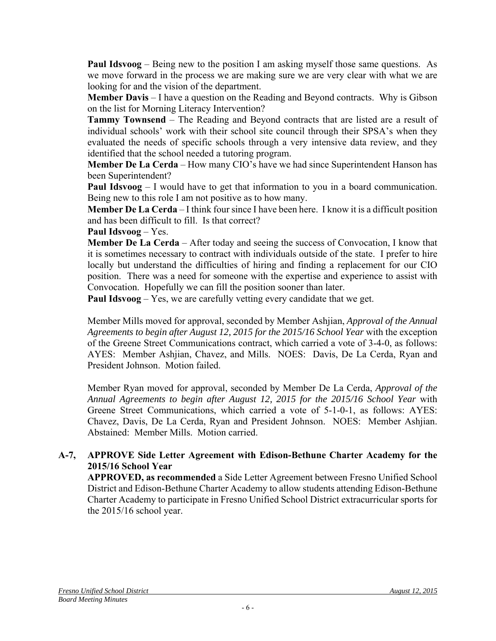**Paul Idsvoog** – Being new to the position I am asking myself those same questions. As we move forward in the process we are making sure we are very clear with what we are looking for and the vision of the department.

**Member Davis** – I have a question on the Reading and Beyond contracts. Why is Gibson on the list for Morning Literacy Intervention?

**Tammy Townsend** – The Reading and Beyond contracts that are listed are a result of individual schools' work with their school site council through their SPSA's when they evaluated the needs of specific schools through a very intensive data review, and they identified that the school needed a tutoring program.

**Member De La Cerda** – How many CIO's have we had since Superintendent Hanson has been Superintendent?

**Paul Idsvoog** – I would have to get that information to you in a board communication. Being new to this role I am not positive as to how many.

**Member De La Cerda** – I think four since I have been here. I know it is a difficult position and has been difficult to fill. Is that correct?

**Paul Idsvoog** – Yes.

**Member De La Cerda** – After today and seeing the success of Convocation, I know that it is sometimes necessary to contract with individuals outside of the state. I prefer to hire locally but understand the difficulties of hiring and finding a replacement for our CIO position. There was a need for someone with the expertise and experience to assist with Convocation. Hopefully we can fill the position sooner than later.

**Paul Idsvoog** – Yes, we are carefully vetting every candidate that we get.

Member Mills moved for approval, seconded by Member Ashjian, *Approval of the Annual Agreements to begin after August 12, 2015 for the 2015/16 School Year* with the exception of the Greene Street Communications contract, which carried a vote of 3-4-0, as follows: AYES: Member Ashjian, Chavez, and Mills. NOES: Davis, De La Cerda, Ryan and President Johnson. Motion failed.

Member Ryan moved for approval, seconded by Member De La Cerda, *Approval of the Annual Agreements to begin after August 12, 2015 for the 2015/16 School Year* with Greene Street Communications, which carried a vote of 5-1-0-1, as follows: AYES: Chavez, Davis, De La Cerda, Ryan and President Johnson. NOES: Member Ashjian. Abstained: Member Mills. Motion carried.

### **A-7, APPROVE Side Letter Agreement with Edison-Bethune Charter Academy for the 2015/16 School Year**

**APPROVED, as recommended** a Side Letter Agreement between Fresno Unified School District and Edison-Bethune Charter Academy to allow students attending Edison-Bethune Charter Academy to participate in Fresno Unified School District extracurricular sports for the 2015/16 school year.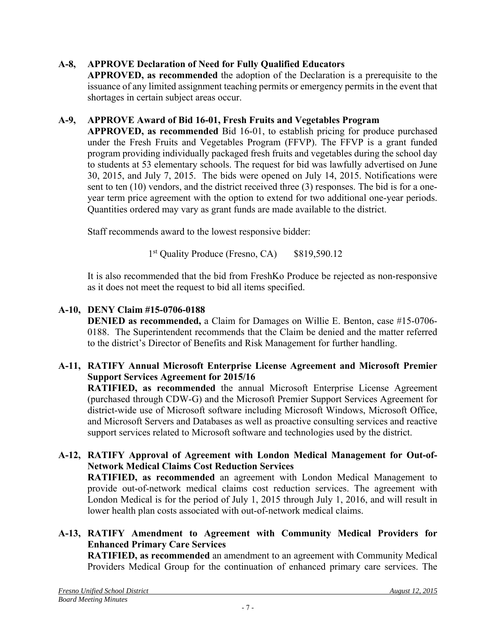# **A-8, APPROVE Declaration of Need for Fully Qualified Educators**

**APPROVED, as recommended** the adoption of the Declaration is a prerequisite to the issuance of any limited assignment teaching permits or emergency permits in the event that shortages in certain subject areas occur.

# **A-9, APPROVE Award of Bid 16-01, Fresh Fruits and Vegetables Program**

**APPROVED, as recommended** Bid 16-01, to establish pricing for produce purchased under the Fresh Fruits and Vegetables Program (FFVP). The FFVP is a grant funded program providing individually packaged fresh fruits and vegetables during the school day to students at 53 elementary schools. The request for bid was lawfully advertised on June 30, 2015, and July 7, 2015. The bids were opened on July 14, 2015. Notifications were sent to ten (10) vendors, and the district received three (3) responses. The bid is for a oneyear term price agreement with the option to extend for two additional one-year periods. Quantities ordered may vary as grant funds are made available to the district.

Staff recommends award to the lowest responsive bidder:

1<sup>st</sup> Quality Produce (Fresno, CA) \$819,590.12

It is also recommended that the bid from FreshKo Produce be rejected as non-responsive as it does not meet the request to bid all items specified.

# **A-10, DENY Claim #15-0706-0188**

**DENIED as recommended,** a Claim for Damages on Willie E. Benton, case #15-0706- 0188. The Superintendent recommends that the Claim be denied and the matter referred to the district's Director of Benefits and Risk Management for further handling.

### **A-11, RATIFY Annual Microsoft Enterprise License Agreement and Microsoft Premier Support Services Agreement for 2015/16**

**RATIFIED, as recommended** the annual Microsoft Enterprise License Agreement (purchased through CDW-G) and the Microsoft Premier Support Services Agreement for district-wide use of Microsoft software including Microsoft Windows, Microsoft Office, and Microsoft Servers and Databases as well as proactive consulting services and reactive support services related to Microsoft software and technologies used by the district.

### **A-12, RATIFY Approval of Agreement with London Medical Management for Out-of-Network Medical Claims Cost Reduction Services**

**RATIFIED, as recommended** an agreement with London Medical Management to provide out-of-network medical claims cost reduction services. The agreement with London Medical is for the period of July 1, 2015 through July 1, 2016, and will result in lower health plan costs associated with out-of-network medical claims.

### **A-13, RATIFY Amendment to Agreement with Community Medical Providers for Enhanced Primary Care Services**

**RATIFIED, as recommended** an amendment to an agreement with Community Medical Providers Medical Group for the continuation of enhanced primary care services. The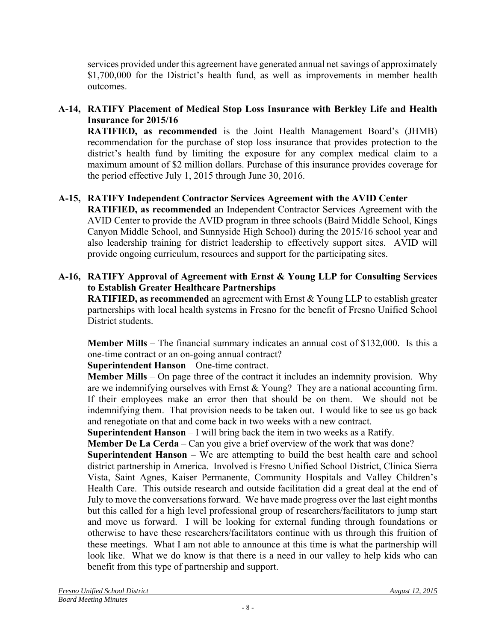services provided under this agreement have generated annual net savings of approximately \$1,700,000 for the District's health fund, as well as improvements in member health outcomes.

# **A-14, RATIFY Placement of Medical Stop Loss Insurance with Berkley Life and Health Insurance for 2015/16**

**RATIFIED, as recommended** is the Joint Health Management Board's (JHMB) recommendation for the purchase of stop loss insurance that provides protection to the district's health fund by limiting the exposure for any complex medical claim to a maximum amount of \$2 million dollars. Purchase of this insurance provides coverage for the period effective July 1, 2015 through June 30, 2016.

# **A-15, RATIFY Independent Contractor Services Agreement with the AVID Center**

**RATIFIED, as recommended** an Independent Contractor Services Agreement with the AVID Center to provide the AVID program in three schools (Baird Middle School, Kings Canyon Middle School, and Sunnyside High School) during the 2015/16 school year and also leadership training for district leadership to effectively support sites. AVID will provide ongoing curriculum, resources and support for the participating sites.

# **A-16, RATIFY Approval of Agreement with Ernst & Young LLP for Consulting Services to Establish Greater Healthcare Partnerships**

**RATIFIED, as recommended** an agreement with Ernst & Young LLP to establish greater partnerships with local health systems in Fresno for the benefit of Fresno Unified School District students.

**Member Mills** – The financial summary indicates an annual cost of \$132,000. Is this a one-time contract or an on-going annual contract?

**Superintendent Hanson** – One-time contract.

**Member Mills** – On page three of the contract it includes an indemnity provision. Why are we indemnifying ourselves with Ernst  $& Young?$  They are a national accounting firm. If their employees make an error then that should be on them. We should not be indemnifying them. That provision needs to be taken out. I would like to see us go back and renegotiate on that and come back in two weeks with a new contract.

**Superintendent Hanson** – I will bring back the item in two weeks as a Ratify.

**Member De La Cerda** – Can you give a brief overview of the work that was done?

**Superintendent Hanson** – We are attempting to build the best health care and school district partnership in America. Involved is Fresno Unified School District, Clinica Sierra Vista, Saint Agnes, Kaiser Permanente, Community Hospitals and Valley Children's Health Care. This outside research and outside facilitation did a great deal at the end of July to move the conversations forward. We have made progress over the last eight months but this called for a high level professional group of researchers/facilitators to jump start and move us forward. I will be looking for external funding through foundations or otherwise to have these researchers/facilitators continue with us through this fruition of these meetings. What I am not able to announce at this time is what the partnership will look like. What we do know is that there is a need in our valley to help kids who can benefit from this type of partnership and support.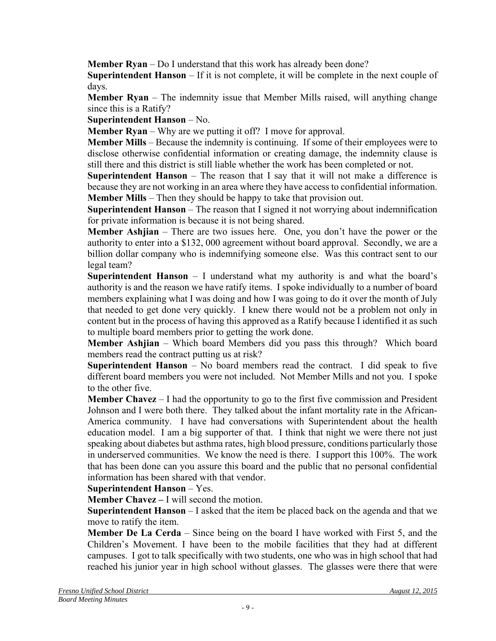**Member Ryan** – Do I understand that this work has already been done?

**Superintendent Hanson** – If it is not complete, it will be complete in the next couple of days.

**Member Ryan** – The indemnity issue that Member Mills raised, will anything change since this is a Ratify?

**Superintendent Hanson** – No.

**Member Ryan** – Why are we putting it off? I move for approval.

**Member Mills** – Because the indemnity is continuing. If some of their employees were to disclose otherwise confidential information or creating damage, the indemnity clause is still there and this district is still liable whether the work has been completed or not.

**Superintendent Hanson** – The reason that I say that it will not make a difference is because they are not working in an area where they have access to confidential information. **Member Mills** – Then they should be happy to take that provision out.

**Superintendent Hanson** – The reason that I signed it not worrying about indemnification for private information is because it is not being shared.

**Member Ashjian** – There are two issues here. One, you don't have the power or the authority to enter into a \$132, 000 agreement without board approval. Secondly, we are a billion dollar company who is indemnifying someone else. Was this contract sent to our legal team?

**Superintendent Hanson** – I understand what my authority is and what the board's authority is and the reason we have ratify items. I spoke individually to a number of board members explaining what I was doing and how I was going to do it over the month of July that needed to get done very quickly. I knew there would not be a problem not only in content but in the process of having this approved as a Ratify because I identified it as such to multiple board members prior to getting the work done.

**Member Ashjian** – Which board Members did you pass this through? Which board members read the contract putting us at risk?

**Superintendent Hanson** – No board members read the contract. I did speak to five different board members you were not included. Not Member Mills and not you. I spoke to the other five.

**Member Chavez** – I had the opportunity to go to the first five commission and President Johnson and I were both there. They talked about the infant mortality rate in the African-America community. I have had conversations with Superintendent about the health education model. I am a big supporter of that. I think that night we were there not just speaking about diabetes but asthma rates, high blood pressure, conditions particularly those in underserved communities. We know the need is there. I support this 100%. The work that has been done can you assure this board and the public that no personal confidential information has been shared with that vendor.

# **Superintendent Hanson** – Yes.

**Member Chavez – I will second the motion.** 

**Superintendent Hanson** – I asked that the item be placed back on the agenda and that we move to ratify the item.

**Member De La Cerda** – Since being on the board I have worked with First 5, and the Children's Movement. I have been to the mobile facilities that they had at different campuses. I got to talk specifically with two students, one who was in high school that had reached his junior year in high school without glasses. The glasses were there that were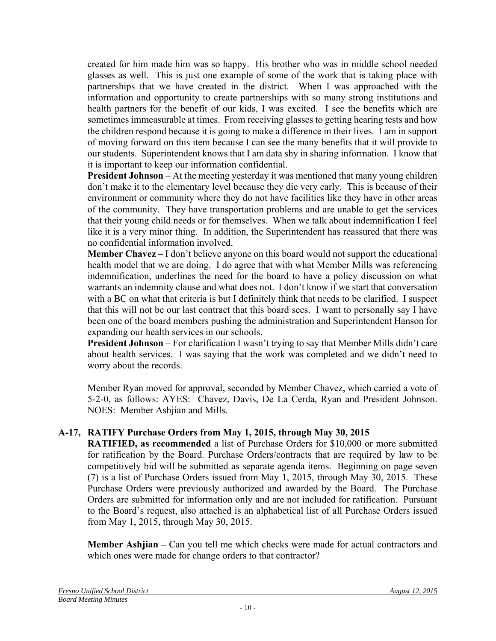created for him made him was so happy. His brother who was in middle school needed glasses as well. This is just one example of some of the work that is taking place with partnerships that we have created in the district. When I was approached with the information and opportunity to create partnerships with so many strong institutions and health partners for the benefit of our kids, I was excited. I see the benefits which are sometimes immeasurable at times. From receiving glasses to getting hearing tests and how the children respond because it is going to make a difference in their lives. I am in support of moving forward on this item because I can see the many benefits that it will provide to our students. Superintendent knows that I am data shy in sharing information. I know that it is important to keep our information confidential.

**President Johnson** – At the meeting yesterday it was mentioned that many young children don't make it to the elementary level because they die very early. This is because of their environment or community where they do not have facilities like they have in other areas of the community. They have transportation problems and are unable to get the services that their young child needs or for themselves. When we talk about indemnification I feel like it is a very minor thing. In addition, the Superintendent has reassured that there was no confidential information involved.

**Member Chavez** – I don't believe anyone on this board would not support the educational health model that we are doing. I do agree that with what Member Mills was referencing indemnification, underlines the need for the board to have a policy discussion on what warrants an indemnity clause and what does not. I don't know if we start that conversation with a BC on what that criteria is but I definitely think that needs to be clarified. I suspect that this will not be our last contract that this board sees. I want to personally say I have been one of the board members pushing the administration and Superintendent Hanson for expanding our health services in our schools.

**President Johnson** – For clarification I wasn't trying to say that Member Mills didn't care about health services. I was saying that the work was completed and we didn't need to worry about the records.

Member Ryan moved for approval, seconded by Member Chavez, which carried a vote of 5-2-0, as follows: AYES: Chavez, Davis, De La Cerda, Ryan and President Johnson. NOES: Member Ashjian and Mills.

# **A-17, RATIFY Purchase Orders from May 1, 2015, through May 30, 2015**

**RATIFIED, as recommended** a list of Purchase Orders for \$10,000 or more submitted for ratification by the Board. Purchase Orders/contracts that are required by law to be competitively bid will be submitted as separate agenda items. Beginning on page seven (7) is a list of Purchase Orders issued from May 1, 2015, through May 30, 2015. These Purchase Orders were previously authorized and awarded by the Board. The Purchase Orders are submitted for information only and are not included for ratification. Pursuant to the Board's request, also attached is an alphabetical list of all Purchase Orders issued from May 1, 2015, through May 30, 2015.

**Member Ashijan** – Can you tell me which checks were made for actual contractors and which ones were made for change orders to that contractor?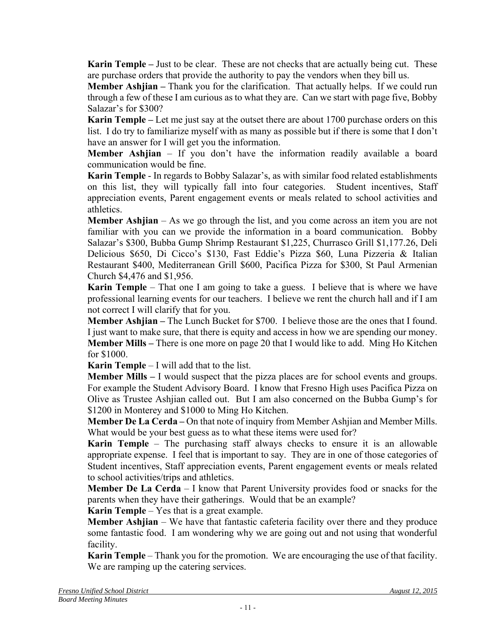**Karin Temple –** Just to be clear. These are not checks that are actually being cut. These are purchase orders that provide the authority to pay the vendors when they bill us.

**Member Ashjian** – Thank you for the clarification. That actually helps. If we could run through a few of these I am curious as to what they are. Can we start with page five, Bobby Salazar's for \$300?

**Karin Temple –** Let me just say at the outset there are about 1700 purchase orders on this list. I do try to familiarize myself with as many as possible but if there is some that I don't have an answer for I will get you the information.

**Member Ashjian** – If you don't have the information readily available a board communication would be fine.

**Karin Temple** - In regards to Bobby Salazar's, as with similar food related establishments on this list, they will typically fall into four categories. Student incentives, Staff appreciation events, Parent engagement events or meals related to school activities and athletics.

**Member Ashjian** – As we go through the list, and you come across an item you are not familiar with you can we provide the information in a board communication. Bobby Salazar's \$300, Bubba Gump Shrimp Restaurant \$1,225, Churrasco Grill \$1,177.26, Deli Delicious \$650, Di Cicco's \$130, Fast Eddie's Pizza \$60, Luna Pizzeria & Italian Restaurant \$400, Mediterranean Grill \$600, Pacifica Pizza for \$300, St Paul Armenian Church \$4,476 and \$1,956.

**Karin Temple** – That one I am going to take a guess. I believe that is where we have professional learning events for our teachers. I believe we rent the church hall and if I am not correct I will clarify that for you.

**Member Ashjian** – The Lunch Bucket for \$700. I believe those are the ones that I found. I just want to make sure, that there is equity and access in how we are spending our money. **Member Mills** – There is one more on page 20 that I would like to add. Ming Ho Kitchen for \$1000.

**Karin Temple** – I will add that to the list.

**Member Mills –** I would suspect that the pizza places are for school events and groups. For example the Student Advisory Board. I know that Fresno High uses Pacifica Pizza on Olive as Trustee Ashjian called out. But I am also concerned on the Bubba Gump's for \$1200 in Monterey and \$1000 to Ming Ho Kitchen.

**Member De La Cerda –** On that note of inquiry from Member Ashjian and Member Mills. What would be your best guess as to what these items were used for?

**Karin Temple** – The purchasing staff always checks to ensure it is an allowable appropriate expense. I feel that is important to say. They are in one of those categories of Student incentives, Staff appreciation events, Parent engagement events or meals related to school activities/trips and athletics.

**Member De La Cerda** – I know that Parent University provides food or snacks for the parents when they have their gatherings. Would that be an example?

**Karin Temple** – Yes that is a great example.

**Member Ashijan** – We have that fantastic cafeteria facility over there and they produce some fantastic food. I am wondering why we are going out and not using that wonderful facility.

**Karin Temple** – Thank you for the promotion. We are encouraging the use of that facility. We are ramping up the catering services.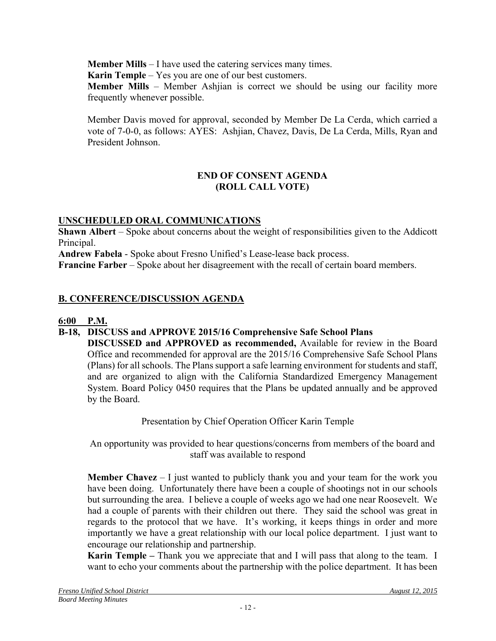**Member Mills** – I have used the catering services many times.

**Karin Temple** – Yes you are one of our best customers.

**Member Mills** – Member Ashjian is correct we should be using our facility more frequently whenever possible.

Member Davis moved for approval, seconded by Member De La Cerda, which carried a vote of 7-0-0, as follows: AYES: Ashjian, Chavez, Davis, De La Cerda, Mills, Ryan and President Johnson.

### **END OF CONSENT AGENDA (ROLL CALL VOTE)**

# **UNSCHEDULED ORAL COMMUNICATIONS**

**Shawn Albert** – Spoke about concerns about the weight of responsibilities given to the Addicott Principal.

**Andrew Fabela** - Spoke about Fresno Unified's Lease-lease back process.

**Francine Farber** – Spoke about her disagreement with the recall of certain board members.

# **B. CONFERENCE/DISCUSSION AGENDA**

# **6:00 P.M.**

# **B-18, DISCUSS and APPROVE 2015/16 Comprehensive Safe School Plans**

 **DISCUSSED and APPROVED as recommended,** Available for review in the Board Office and recommended for approval are the 2015/16 Comprehensive Safe School Plans (Plans) for all schools. The Plans support a safe learning environment for students and staff, and are organized to align with the California Standardized Emergency Management System. Board Policy 0450 requires that the Plans be updated annually and be approved by the Board.

Presentation by Chief Operation Officer Karin Temple

An opportunity was provided to hear questions/concerns from members of the board and staff was available to respond

**Member Chavez** – I just wanted to publicly thank you and your team for the work you have been doing. Unfortunately there have been a couple of shootings not in our schools but surrounding the area. I believe a couple of weeks ago we had one near Roosevelt. We had a couple of parents with their children out there. They said the school was great in regards to the protocol that we have. It's working, it keeps things in order and more importantly we have a great relationship with our local police department. I just want to encourage our relationship and partnership.

**Karin Temple –** Thank you we appreciate that and I will pass that along to the team. I want to echo your comments about the partnership with the police department. It has been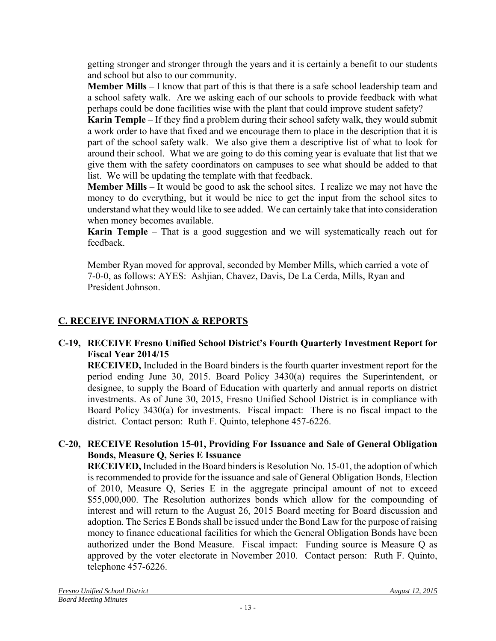getting stronger and stronger through the years and it is certainly a benefit to our students and school but also to our community.

**Member Mills –** I know that part of this is that there is a safe school leadership team and a school safety walk. Are we asking each of our schools to provide feedback with what perhaps could be done facilities wise with the plant that could improve student safety?

**Karin Temple** – If they find a problem during their school safety walk, they would submit a work order to have that fixed and we encourage them to place in the description that it is part of the school safety walk. We also give them a descriptive list of what to look for around their school. What we are going to do this coming year is evaluate that list that we give them with the safety coordinators on campuses to see what should be added to that list. We will be updating the template with that feedback.

**Member Mills** – It would be good to ask the school sites. I realize we may not have the money to do everything, but it would be nice to get the input from the school sites to understand what they would like to see added. We can certainly take that into consideration when money becomes available.

**Karin Temple** – That is a good suggestion and we will systematically reach out for feedback.

Member Ryan moved for approval, seconded by Member Mills, which carried a vote of 7-0-0, as follows: AYES: Ashjian, Chavez, Davis, De La Cerda, Mills, Ryan and President Johnson.

# **C. RECEIVE INFORMATION & REPORTS**

# **C-19, RECEIVE Fresno Unified School District's Fourth Quarterly Investment Report for Fiscal Year 2014/15**

 **RECEIVED,** Included in the Board binders is the fourth quarter investment report for the period ending June 30, 2015. Board Policy 3430(a) requires the Superintendent, or designee, to supply the Board of Education with quarterly and annual reports on district investments. As of June 30, 2015, Fresno Unified School District is in compliance with Board Policy 3430(a) for investments. Fiscal impact: There is no fiscal impact to the district. Contact person: Ruth F. Quinto, telephone 457-6226.

# **C-20, RECEIVE Resolution 15-01, Providing For Issuance and Sale of General Obligation Bonds, Measure Q, Series E Issuance**

 **RECEIVED,** Included in the Board binders is Resolution No. 15-01, the adoption of which is recommended to provide for the issuance and sale of General Obligation Bonds, Election of 2010, Measure Q, Series E in the aggregate principal amount of not to exceed \$55,000,000. The Resolution authorizes bonds which allow for the compounding of interest and will return to the August 26, 2015 Board meeting for Board discussion and adoption. The Series E Bonds shall be issued under the Bond Law for the purpose of raising money to finance educational facilities for which the General Obligation Bonds have been authorized under the Bond Measure. Fiscal impact: Funding source is Measure Q as approved by the voter electorate in November 2010. Contact person: Ruth F. Quinto, telephone 457-6226.